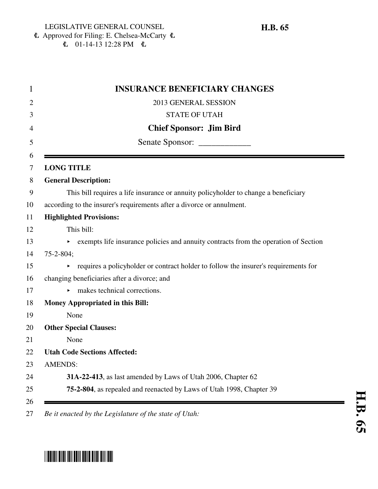6 Approved for Filing: E. Chelsea-McCarty 6  $E$  01-14-13 12:28 PM  $E$ 

| <b>INSURANCE BENEFICIARY CHANGES</b>                                                |
|-------------------------------------------------------------------------------------|
| 2013 GENERAL SESSION                                                                |
| <b>STATE OF UTAH</b>                                                                |
| <b>Chief Sponsor: Jim Bird</b>                                                      |
| Senate Sponsor: ______________                                                      |
| <b>LONG TITLE</b>                                                                   |
| <b>General Description:</b>                                                         |
| This bill requires a life insurance or annuity policyholder to change a beneficiary |
| according to the insurer's requirements after a divorce or annulment.               |
| <b>Highlighted Provisions:</b>                                                      |
| This bill:                                                                          |
| exempts life insurance policies and annuity contracts from the operation of Section |
| $75 - 2 - 804$ ;                                                                    |
| requires a policyholder or contract holder to follow the insurer's requirements for |
| changing beneficiaries after a divorce; and                                         |
| makes technical corrections.                                                        |
| <b>Money Appropriated in this Bill:</b>                                             |
| None                                                                                |
| <b>Other Special Clauses:</b>                                                       |
| None                                                                                |
| <b>Utah Code Sections Affected:</b>                                                 |
| <b>AMENDS:</b>                                                                      |
| 31A-22-413, as last amended by Laws of Utah 2006, Chapter 62                        |
| 75-2-804, as repealed and reenacted by Laws of Utah 1998, Chapter 39                |

# \*HB0065\*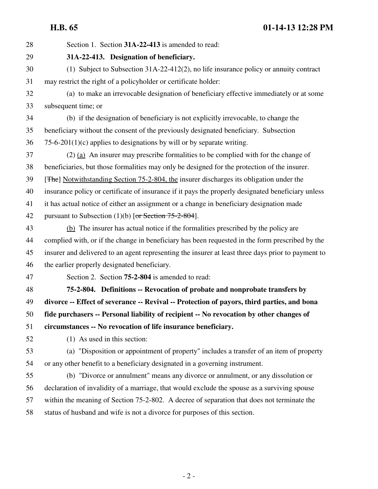28 Section 1. Section **31A-22-413** is amended to read: 29 **31A-22-413. Designation of beneficiary.** 30 (1) Subject to Subsection 31A-22-412(2), no life insurance policy or annuity contract 31 may restrict the right of a policyholder or certificate holder: 32 (a) to make an irrevocable designation of beneficiary effective immediately or at some 33 subsequent time; or 34 (b) if the designation of beneficiary is not explicitly irrevocable, to change the 35 beneficiary without the consent of the previously designated beneficiary. Subsection 36 75-6-201(1)(c) applies to designations by will or by separate writing. 37 (2) (a) An insurer may prescribe formalities to be complied with for the change of 38 beneficiaries, but those formalities may only be designed for the protection of the insurer. 39 [The] Notwithstanding Section 75-2-804, the insurer discharges its obligation under the 40 insurance policy or certificate of insurance if it pays the properly designated beneficiary unless 41 it has actual notice of either an assignment or a change in beneficiary designation made 42 pursuant to Subsection (1)(b)  $\left[ \text{or} \text{Section 75-2-804} \right]$ . 43 (b) The insurer has actual notice if the formalities prescribed by the policy are 44 complied with, or if the change in beneficiary has been requested in the form prescribed by the 45 insurer and delivered to an agent representing the insurer at least three days prior to payment to 46 the earlier properly designated beneficiary. 47 Section 2. Section **75-2-804** is amended to read: 48 **75-2-804. Definitions -- Revocation of probate and nonprobate transfers by** 49 **divorce -- Effect of severance -- Revival -- Protection of payors, third parties, and bona** 50 **fide purchasers -- Personal liability of recipient -- No revocation by other changes of** 51 **circumstances -- No revocation of life insurance beneficiary.** 52 (1) As used in this section: 53 (a) "Disposition or appointment of property" includes a transfer of an item of property 54 or any other benefit to a beneficiary designated in a governing instrument. 55 (b) "Divorce or annulment" means any divorce or annulment, or any dissolution or 56 declaration of invalidity of a marriage, that would exclude the spouse as a surviving spouse 57 within the meaning of Section 75-2-802. A decree of separation that does not terminate the 58 status of husband and wife is not a divorce for purposes of this section.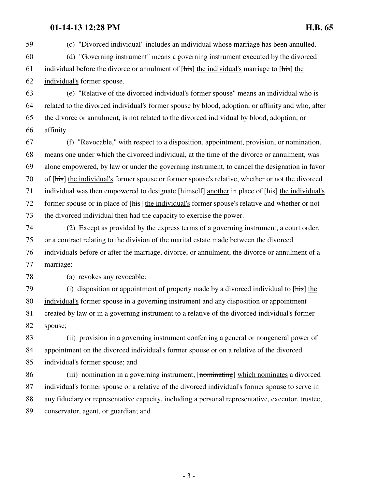## **01-14-13 12:28 PM H.B. 65**

59 (c) "Divorced individual" includes an individual whose marriage has been annulled. 60 (d) "Governing instrument" means a governing instrument executed by the divorced 61 individual before the divorce or annulment of  $[\overline{\text{his}}]$  the individual's marriage to  $[\overline{\text{his}}]$  the 62 individual's former spouse.

63 (e) "Relative of the divorced individual's former spouse" means an individual who is 64 related to the divorced individual's former spouse by blood, adoption, or affinity and who, after 65 the divorce or annulment, is not related to the divorced individual by blood, adoption, or 66 affinity.

67 (f) "Revocable," with respect to a disposition, appointment, provision, or nomination, 68 means one under which the divorced individual, at the time of the divorce or annulment, was 69 alone empowered, by law or under the governing instrument, to cancel the designation in favor 70 of [his] the individual's former spouse or former spouse's relative, whether or not the divorced 71 individual was then empowered to designate [himself] another in place of [his] the individual's 72 former spouse or in place of [his] the individual's former spouse's relative and whether or not 73 the divorced individual then had the capacity to exercise the power.

74 (2) Except as provided by the express terms of a governing instrument, a court order, 75 or a contract relating to the division of the marital estate made between the divorced 76 individuals before or after the marriage, divorce, or annulment, the divorce or annulment of a 77 marriage:

78 (a) revokes any revocable:

79 (i) disposition or appointment of property made by a divorced individual to [his] the 80 individual's former spouse in a governing instrument and any disposition or appointment 81 created by law or in a governing instrument to a relative of the divorced individual's former 82 spouse;

83 (ii) provision in a governing instrument conferring a general or nongeneral power of 84 appointment on the divorced individual's former spouse or on a relative of the divorced 85 individual's former spouse; and

86 (iii) nomination in a governing instrument, [nominating] which nominates a divorced 87 individual's former spouse or a relative of the divorced individual's former spouse to serve in 88 any fiduciary or representative capacity, including a personal representative, executor, trustee, 89 conservator, agent, or guardian; and

- 3 -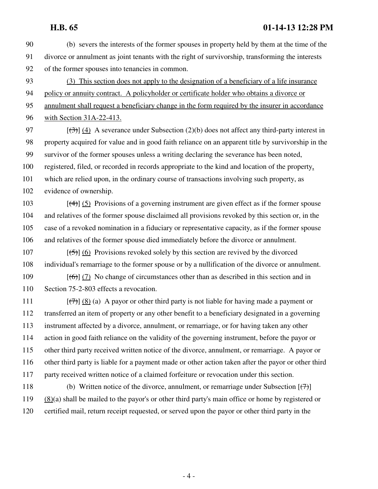# **H.B. 65 01-14-13 12:28 PM**

- 90 (b) severs the interests of the former spouses in property held by them at the time of the 91 divorce or annulment as joint tenants with the right of survivorship, transforming the interests 92 of the former spouses into tenancies in common.
- 93 (3) This section does not apply to the designation of a beneficiary of a life insurance 94 policy or annuity contract. A policyholder or certificate holder who obtains a divorce or 95 annulment shall request a beneficiary change in the form required by the insurer in accordance 96 with Section 31A-22-413.
- 97  $\left[\left(\frac{3}{2}\right)\right]$  (4) A severance under Subsection (2)(b) does not affect any third-party interest in 98 property acquired for value and in good faith reliance on an apparent title by survivorship in the 99 survivor of the former spouses unless a writing declaring the severance has been noted, 100 registered, filed, or recorded in records appropriate to the kind and location of the property, 101 which are relied upon, in the ordinary course of transactions involving such property, as 102 evidence of ownership.
- 103  $[(4)] (5)$  Provisions of a governing instrument are given effect as if the former spouse 104 and relatives of the former spouse disclaimed all provisions revoked by this section or, in the 105 case of a revoked nomination in a fiduciary or representative capacity, as if the former spouse 106 and relatives of the former spouse died immediately before the divorce or annulment.
- 107  $[(5)] (6)$  Provisions revoked solely by this section are revived by the divorced 108 individual's remarriage to the former spouse or by a nullification of the divorce or annulment.
- 109  $[(6)]$  (7) No change of circumstances other than as described in this section and in 110 Section 75-2-803 effects a revocation.
- 111  $[\langle \overline{\tau} \rangle]$  (8) (a) A payor or other third party is not liable for having made a payment or 112 transferred an item of property or any other benefit to a beneficiary designated in a governing 113 instrument affected by a divorce, annulment, or remarriage, or for having taken any other 114 action in good faith reliance on the validity of the governing instrument, before the payor or 115 other third party received written notice of the divorce, annulment, or remarriage. A payor or 116 other third party is liable for a payment made or other action taken after the payor or other third 117 party received written notice of a claimed forfeiture or revocation under this section.
- 118 (b) Written notice of the divorce, annulment, or remarriage under Subsection  $[*(7)*]$ 119 (8)(a) shall be mailed to the payor's or other third party's main office or home by registered or 120 certified mail, return receipt requested, or served upon the payor or other third party in the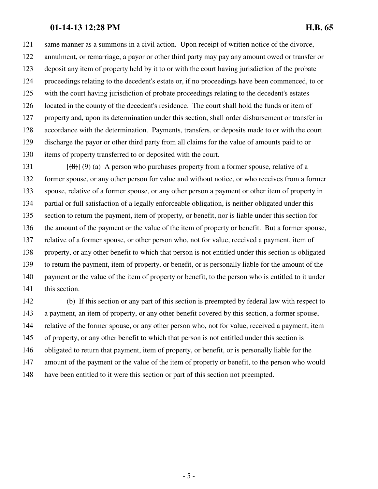## **01-14-13 12:28 PM H.B. 65**

121 same manner as a summons in a civil action. Upon receipt of written notice of the divorce, 122 annulment, or remarriage, a payor or other third party may pay any amount owed or transfer or 123 deposit any item of property held by it to or with the court having jurisdiction of the probate 124 proceedings relating to the decedent's estate or, if no proceedings have been commenced, to or 125 with the court having jurisdiction of probate proceedings relating to the decedent's estates 126 located in the county of the decedent's residence. The court shall hold the funds or item of 127 property and, upon its determination under this section, shall order disbursement or transfer in 128 accordance with the determination. Payments, transfers, or deposits made to or with the court 129 discharge the payor or other third party from all claims for the value of amounts paid to or 130 items of property transferred to or deposited with the court.

131  $[(8)(9)(a)$  A person who purchases property from a former spouse, relative of a 132 former spouse, or any other person for value and without notice, or who receives from a former 133 spouse, relative of a former spouse, or any other person a payment or other item of property in 134 partial or full satisfaction of a legally enforceable obligation, is neither obligated under this 135 section to return the payment, item of property, or benefit, nor is liable under this section for 136 the amount of the payment or the value of the item of property or benefit. But a former spouse, 137 relative of a former spouse, or other person who, not for value, received a payment, item of 138 property, or any other benefit to which that person is not entitled under this section is obligated 139 to return the payment, item of property, or benefit, or is personally liable for the amount of the 140 payment or the value of the item of property or benefit, to the person who is entitled to it under 141 this section.

142 (b) If this section or any part of this section is preempted by federal law with respect to 143 a payment, an item of property, or any other benefit covered by this section, a former spouse, 144 relative of the former spouse, or any other person who, not for value, received a payment, item 145 of property, or any other benefit to which that person is not entitled under this section is 146 obligated to return that payment, item of property, or benefit, or is personally liable for the 147 amount of the payment or the value of the item of property or benefit, to the person who would 148 have been entitled to it were this section or part of this section not preempted.